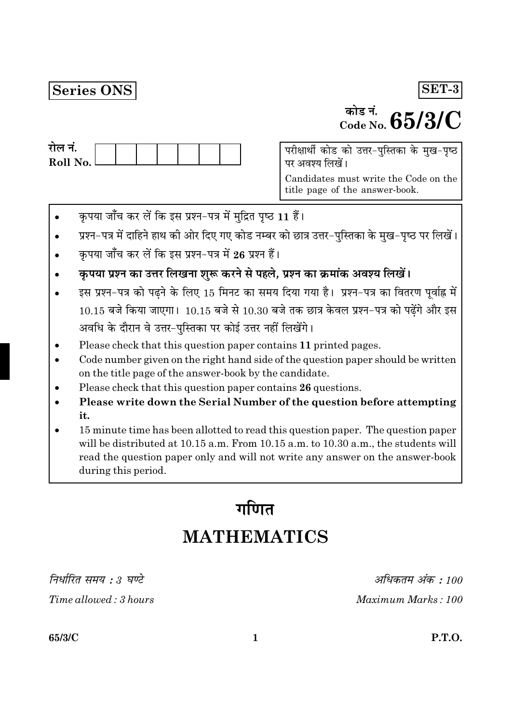## Series ONS

# $\frac{1}{\text{m}^2}$  and  $\frac{1}{\text{m}^2}$  in  $65/3/C$

SET-3

| राल न.     |  |  |  |  |
|------------|--|--|--|--|
| Roll No. l |  |  |  |  |
|            |  |  |  |  |

परीक्षार्थी कोड को उत्तर-पुस्तिका के मुख-पृष्ठ पर अवश्य लिखें।

Candidates must write the Code on the title page of the answer-book.

- कृपया जाँच कर लें कि इस प्रश्न-पत्र में मुद्रित पृष्ठ 11 हैं।
- प्रश्न-पत्र में दाहिने हाथ की ओर दिए गए कोड नम्बर को छात्र उत्तर-पुस्तिका के मुख-पृष्ठ पर लिखें।
- कपया जाँच कर लें कि इस प्रश्न-पत्र में 26 प्रश्न हैं।
- कृपया प्रश्न का उत्तर लिखना शुरू करने से पहले, प्रश्न का क्रमांक अवश्य लिखें।
- इस प्रश्न-पत्र को पढ़ने के लिए 15 मिनट का समय दिया गया है। प्रश्न-पत्र का वितरण पूर्वाह्न में  $10.15$  बजे किया जाएगा।  $10.15$  बजे से  $10.30$  बजे तक छात्र केवल प्रश्न-पत्र को पढ़ेंगे और इस अवधि के दौरान वे उत्तर-पुस्तिका पर कोई उत्तर नहीं लिखेंगे।
- Please check that this question paper contains 11 printed pages.
- Code number given on the right hand side of the question paper should be written on the title page of the answer-book by the candidate.
- Please check that this question paper contains 26 questions.
- Please write down the Serial Number of the question before attempting it.
- 15 minute time has been allotted to read this question paper. The question paper will be distributed at 10.15 a.m. From 10.15 a.m. to 10.30 a.m., the students will read the question paper only and will not write any answer on the answer-book during this period.

# गणित **MATHEMATICS**

निर्धारित समय : 3 घण्टे

Time allowed: 3 hours

अधिकतम अंक : 100 Maximum Marks: 100

65/3/C

**P.T.O.**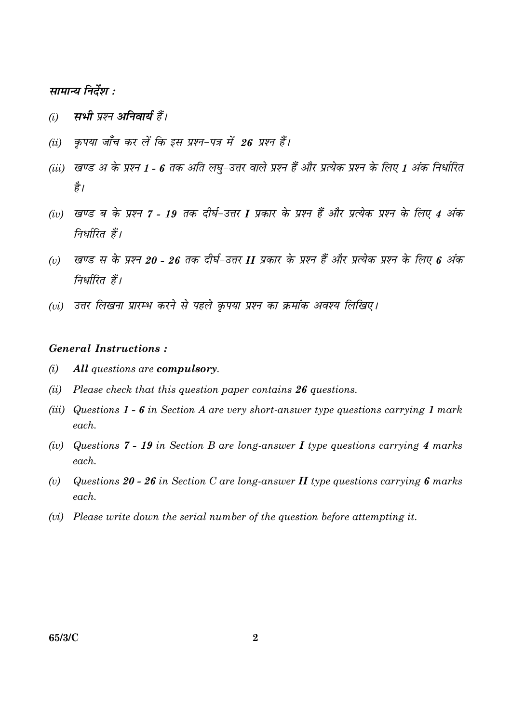#### सामान्य निर्देश :

- सभी प्रश्न अनिवार्य हैं।  $(i)$
- कपया जाँच कर लें कि इस प्रश्न-पत्र में 26 प्रश्न हैं।  $(ii)$
- (iii) खण्ड अ के प्रश्न 1 6 तक अति लघु-उत्तर वाले प्रश्न हैं और प्रत्येक प्रश्न के लिए 1 अंक निर्धारित है।
- (iv) खण्ड ब के प्रश्न 7 19 तक दीर्घ-उत्तर I प्रकार के प्रश्न हैं और प्रत्येक प्रश्न के लिए 4 अंक निर्धारित हैं।
- खण्ड स के प्रश्न 20 26 तक दीर्घ-उत्तर II प्रकार के प्रश्न हैं और प्रत्येक प्रश्न के लिए 6 अंक  $(v)$ निर्धारित हैं।
- (vi) उत्तर लिखना प्रारम्भ करने से पहले कपया प्रश्न का क्रमांक अवश्य लिखिए।

#### **General Instructions:**

- $(i)$ All questions are compulsory.
- (ii) Please check that this question paper contains  $26$  questions.
- (iii) Questions  $1 6$  in Section A are very short-answer type questions carrying 1 mark each.
- (iv) Questions 7 19 in Section B are long-answer I type questions carrying 4 marks  $\epsilon$  *each*
- Questions 20 26 in Section C are long-answer  $II$  type questions carrying 6 marks  $(v)$  $each$ .
- (vi) Please write down the serial number of the question before attempting it.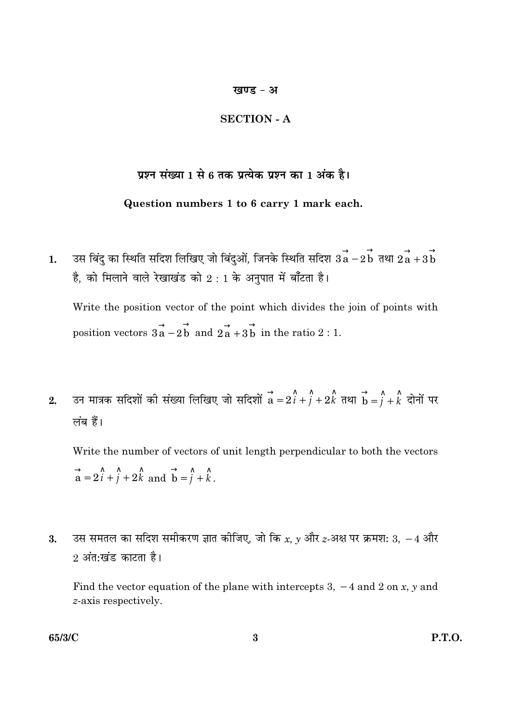#### खण्ड - अ

#### **SECTION - A**

### प्रश्न संख्या 1 से 6 तक प्रत्येक प्रश्न का 1 अंक है।

#### Question numbers 1 to 6 carry 1 mark each.

उस बिंदु का स्थिति सदिश लिखिए जो बिंदुओं, जिनके स्थिति सदिश  $3\overrightarrow{a} - 2\overrightarrow{b}$  तथा  $2\overrightarrow{a} + 3\overrightarrow{b}$  $1.$ है, को मिलाने वाले रेखाखंड को  $2:1$  के अनुपात में बाँटता है।

Write the position vector of the point which divides the join of points with position vectors  $3\overrightarrow{a} - 2\overrightarrow{b}$  and  $2\overrightarrow{a} + 3\overrightarrow{b}$  in the ratio 2 : 1.

उन मात्रक सदिशों की संख्या लिखिए जो सदिशों  $\overrightarrow{a} = 2\hat{i} + \hat{j} + 2\hat{k}$  तथा  $\overrightarrow{b} = \hat{j} + \hat{k}$  दोनों पर  $2.$ लंब हैं।

Write the number of vectors of unit length perpendicular to both the vectors  $\vec{a} = 2\hat{i} + \hat{j} + 2\hat{k}$  and  $\vec{b} = \hat{j} + \hat{k}$ .

उस समतल का सदिश समीकरण ज्ञात कीजिए, जो कि x, y और z-अक्ष पर क्रमश: 3,  $-4$  और  $3.$ 2 अंत:खंड काटता है।

Find the vector equation of the plane with intercepts 3,  $-4$  and 2 on x, y and z-axis respectively.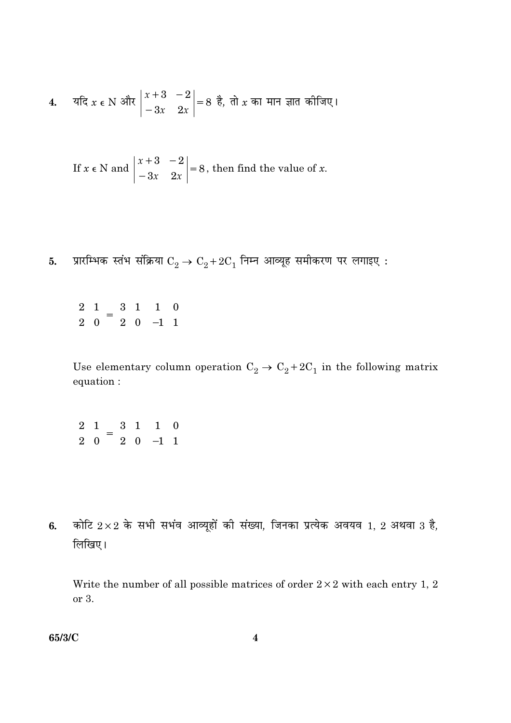4. 
$$
4\pi
$$
  $x \in N$   $\frac{3\pi}{4}$   $\begin{vmatrix} x+3 & -2 \\ -3x & 2x \end{vmatrix} = 8$   $\frac{3}{6}$ ,  $\pi$   $\frac{3\pi}{4}$   $\pi$   $\pi$   $\pi$   $\pi$   $\pi$   $\pi$   $\pi$   $\pi$   $\pi$   $\pi$   $\pi$   $\pi$   $\pi$ 

If  $x \in N$  and  $\begin{vmatrix} x+3 & -2 \\ -3x & 2x \end{vmatrix} = 8$ , then find the value of x.

- प्रारम्भिक स्तंभ संक्रिया  $\mathrm{C}_2 \rightarrow \mathrm{C}_2 + 2 \mathrm{C}_1$  निम्न आव्यूह समीकरण पर लगाइए : 5.
	- $\begin{pmatrix} 2 & 1 \\ 2 & 0 \end{pmatrix} = \begin{pmatrix} 3 & 1 \\ 2 & 0 \end{pmatrix} \begin{pmatrix} 1 & 0 \\ -1 & 1 \end{pmatrix}$

Use elementary column operation  $\mathrm{C}_2 \rightarrow \mathrm{C}_2 + 2 \mathrm{C}_1$  in the following matrix equation :

- $\begin{pmatrix} 2 & 1 \\ 2 & 0 \end{pmatrix} = \begin{pmatrix} 3 & 1 \\ 2 & 0 \end{pmatrix} \begin{pmatrix} 1 & 0 \\ -1 & 1 \end{pmatrix}$
- कोटि  $2\times 2$  के सभी सभंव आव्यूहों की संख्या, जिनका प्रत्येक अवयव 1, 2 अथवा 3 है,  $6.$ लिखिए।

Write the number of all possible matrices of order  $2 \times 2$  with each entry 1, 2 or 3.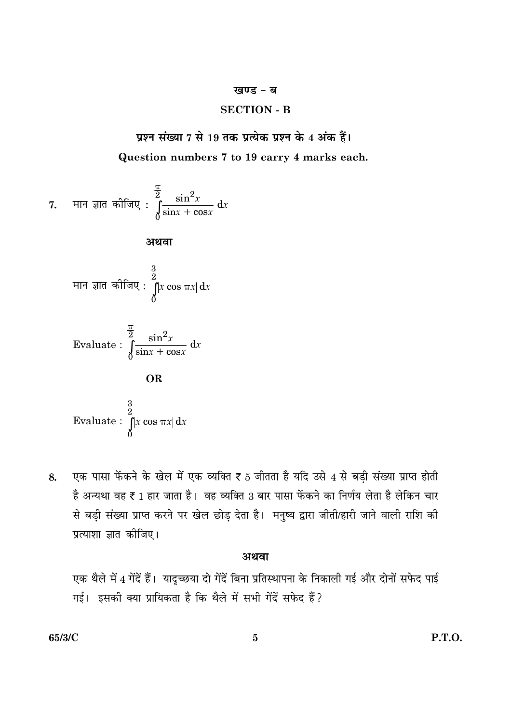#### खण्ड - ब

#### **SECTION - B**

प्रश्न संख्या 7 से 19 तक प्रत्येक प्रश्न के 4 अंक हैं। Question numbers 7 to 19 carry 4 marks each.

7. मान ज्ञात कीजिए : 
$$
\int_{0}^{\frac{\pi}{2}} \frac{\sin^2 x}{\sin x + \cos x} dx
$$

अथवा

मान ज्ञात कीजिए : 
$$
\int_{0}^{\frac{3}{2}} |x \cos \pi x| dx
$$

Evaluate: 
$$
\int_{0}^{\frac{\pi}{2}} \frac{\sin^2 x}{\sin x + \cos x} dx
$$

**OR** 

Evaluate: 
$$
\int_{0}^{\frac{3}{2}} |x \cos \pi x| dx
$$

एक पासा फेंकने के खेल में एक व्यक्ति ₹ 5 जीतता है यदि उसे 4 से बड़ी संख्या प्राप्त होती 8. है अन्यथा वह ₹ 1 हार जाता है। वह व्यक्ति 3 बार पासा फेंकने का निर्णय लेता है लेकिन चार से बड़ी संख्या प्राप्त करने पर खेल छोड़ देता है। मनुष्य द्वारा जीती/हारी जाने वाली राशि की प्रत्याशा ज्ञात कीजिए।

#### अथवा

एक थैले में 4 गेंदें हैं। यादृच्छया दो गेंदें बिना प्रतिस्थापना के निकाली गई और दोनों सफेद पाई गई। इसकी क्या प्रायिकता है कि थैले में सभी गेंदें सफेद हैं?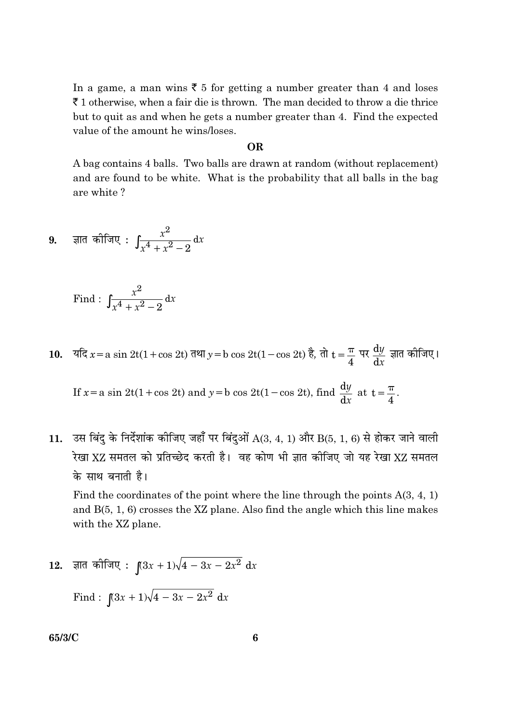In a game, a man wins  $\bar{\xi}$  5 for getting a number greater than 4 and loses  $\bar{\tau}$  1 otherwise, when a fair die is thrown. The man decided to throw a die thrice but to quit as and when he gets a number greater than 4. Find the expected value of the amount he wins/loses.

#### OR.

A bag contains 4 balls. Two balls are drawn at random (without replacement) and are found to be white. What is the probability that all balls in the bag are white?

9. 
$$
\overline{a}
$$
 ज्ञात कोजिए :  $\int \frac{x^2}{x^4 + x^2 - 2} dx$ 

Find: 
$$
\int \frac{x^2}{x^4 + x^2 - 2} dx
$$

10. 
$$
\overline{4}x = a \sin 2t(1 + \cos 2t) \overline{4} \overline{4} y = b \cos 2t(1 - \cos 2t) \overline{5}, \overline{4}t = \frac{\pi}{4} \overline{4}t \frac{dy}{dx} \overline{4} \overline{4} \overline{4} \overline{4} \overline{4} \overline{4} \overline{4} \overline{4} \overline{4} \overline{4} \overline{4} \overline{4} \overline{4} \overline{4} \overline{4} \overline{4} \overline{4} \overline{4} \overline{4} \overline{4} \overline{4} \overline{4} \overline{4} \overline{4} \overline{4} \overline{4} \overline{4} \overline{4} \overline{4} \overline{4} \overline{4} \overline{4} \overline{4} \overline{4} \overline{4} \overline{4} \overline{4} \overline{4} \overline{4} \overline{4} \overline{4} \overline{4} \overline{4} \overline{4} \overline{4} \overline{4} \overline{4} \overline{4} \overline{4} \overline{4} \overline{4} \overline{4} \overline{4} \overline{4} \overline{4} \overline{4} \overline{4} \overline{4} \overline{4} \overline{4} \overline{4} \overline{4} \overline{4} \overline{4} \overline{4} \overline{4} \overline{4} \overline{4} \overline{4} \overline{4} \overline{4} \overline{4} \overline{4} \overline{4} \overline{4} \overline{4} \overline{4} \overline{4} \overline{4} \overline{4} \overline{4} \overline{4} \overline{4} \overline{4} \overline{4} \overline{4} \overline{4} \overline{4} \overline{4} \overline{4} \overline{4} \overline{4} \overline{4} \overline{4} \overline{4} \overline{4} \overline{4} \overline{4} \overline{4} \overline{4} \overline{4} \overline{4} \overline{4} \overline{4} \overline{4} \overline{4} \overline{4} \overline{4} \overline{4} \overline{4} \overline{4} \overline{4} \
$$

 $\mathbf{I}$ 

उस बिंदु के निर्देशांक कीजिए जहाँ पर बिंदुओं  $A(3, 4, 1)$  और  $B(5, 1, 6)$  से होकर जाने वाली 11. रेखा XZ समतल को प्रतिच्छेद करती है। वह कोण भी ज्ञात कीजिए जो यह रेखा XZ समतल के साथ बनाती है।

Find the coordinates of the point where the line through the points  $A(3, 4, 1)$ and  $B(5, 1, 6)$  crosses the XZ plane. Also find the angle which this line makes with the XZ plane.

12. ज्ञात कोजिए :  $\int (3x+1)\sqrt{4-3x-2x^2} dx$ 

Find: 
$$
\int (3x+1)\sqrt{4-3x-2x^2} dx
$$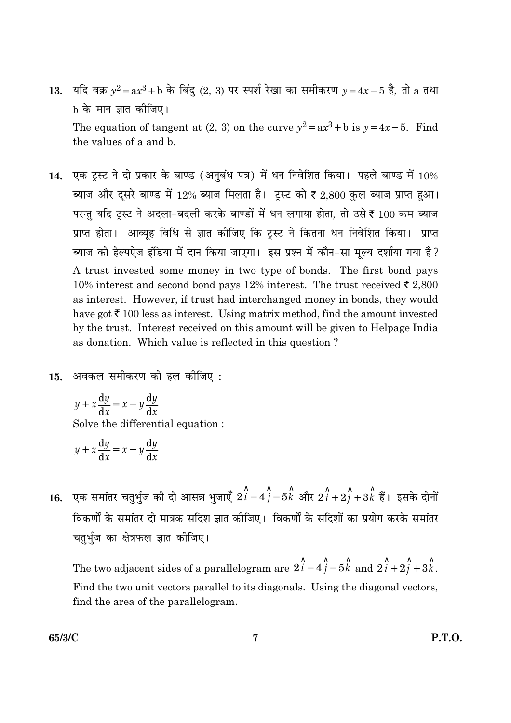- 13. यदि वक्र  $y^2 = ax^3 + b$  के बिंदु (2, 3) पर स्पर्श रेखा का समीकरण  $y = 4x 5$  है, तो a तथा b के मान ज्ञात कीजिए। The equation of tangent at (2, 3) on the curve  $y^2 = ax^3 + b$  is  $y = 4x - 5$ . Find the values of a and b.
- 14. एक ट्स्ट ने दो प्रकार के बाण्ड (अनुबंध पत्र) में धन निवेशित किया। पहले बाण्ड में  $10\%$ ब्याज और दूसरे बाण्ड में 12% ब्याज मिलता है। ट्रस्ट को ₹ 2,800 कुल ब्याज प्राप्त हुआ। परन्तु यदि ट्रस्ट ने अदला-बदली करके बाण्डों में धन लगाया होता, तो उसे ₹ 100 कम ब्याज प्राप्त होता। आव्यह विधि से ज्ञात कोजिए कि ट्रस्ट ने कितना धन निवेशित किया। प्राप्त ब्याज को हेल्पऐज इंडिया में दान किया जाएगा। इस प्रश्न में कौन-सा मुल्य दर्शाया गया है? A trust invested some money in two type of bonds. The first bond pays 10% interest and second bond pays 12% interest. The trust received  $\bar{\epsilon}$  2,800 as interest. However, if trust had interchanged money in bonds, they would have got  $\bar{\tau}$  100 less as interest. Using matrix method, find the amount invested by the trust. Interest received on this amount will be given to Helpage India as donation. Which value is reflected in this question?
- $15.$  अवकल समीकरण को हल कीजिए:

$$
y + x\frac{dy}{dx} = x - y\frac{dy}{dx}
$$
  
Solve the differential equation :

$$
y + x\frac{\mathrm{d}y}{\mathrm{d}x} = x - y\frac{\mathrm{d}y}{\mathrm{d}x}
$$

**16.** एक समांतर चतुर्भुज की दो आसन्न भुजाएँ  $2\hat{i} - 4\hat{j} - 5\hat{k}$  और  $2\hat{i} + 2\hat{j} + 3\hat{k}$  हैं। इसके दोनों विकर्णों के समांतर दो मात्रक सदिश ज्ञात कीजिए। विकर्णों के सदिशों का प्रयोग करके समांतर चतुर्भुज का क्षेत्रफल ज्ञात कीजिए।

The two adjacent sides of a parallelogram are  $2\hat{i} - 4\hat{j} - 5\hat{k}$  and  $2\hat{i} + 2\hat{j} + 3\hat{k}$ . Find the two unit vectors parallel to its diagonals. Using the diagonal vectors, find the area of the parallelogram.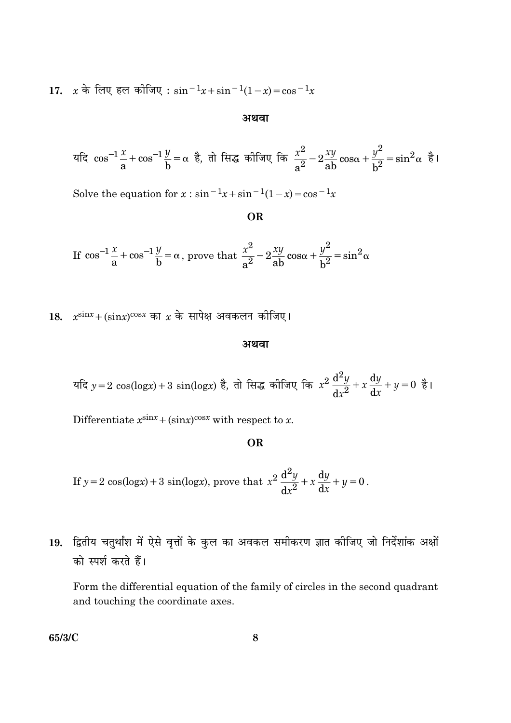17.  $x \stackrel{.}{\sim}$  हिल कीजिए:  $\sin^{-1}x + \sin^{-1}(1-x) = \cos^{-1}x$ 

#### अथवा

यदि 
$$
\cos^{-1}\frac{x}{a} + \cos^{-1}\frac{y}{b} = \alpha
$$
 है, तो सिद्ध कीजिए कि  $\frac{x^2}{a^2} - 2\frac{xy}{ab}\cos\alpha + \frac{y^2}{b^2} = \sin^2\alpha$  है।

Solve the equation for  $x : \sin^{-1}x + \sin^{-1}(1-x) = \cos^{-1}x$ 

OR

If  $\cos^{-1}\frac{x}{a} + \cos^{-1}\frac{y}{b} = \alpha$ , prove that  $\frac{x^2}{a^2} - 2\frac{xy}{ab}\cos\alpha + \frac{y^2}{b^2} = \sin^2\alpha$ 

18.  $x^{\text{sin}x} + (\text{sin}x)^{\cos x}$  का  $x$  के सापेक्ष अवकलन कीजिए।

#### अथवा

यदि 
$$
y = 2 \cos(\log x) + 3 \sin(\log x)
$$
 है, तो सिद्ध कीजिए कि  $x^2 \frac{d^2y}{dx^2} + x \frac{dy}{dx} + y = 0$  है।

Differentiate  $x^{\text{sin}x} + (\text{sin}x)^{\cos x}$  with respect to x.

#### **OR**

If 
$$
y = 2\cos(\log x) + 3\sin(\log x)
$$
, prove that  $x^2 \frac{d^2y}{dx^2} + x \frac{dy}{dx} + y = 0$ .

19. द्वितीय चतुर्थांश में ऐसे वृत्तों के कुल का अवकल समीकरण ज्ञात कीजिए जो निर्देशांक अक्षों को स्पर्श करते हैं।

Form the differential equation of the family of circles in the second quadrant and touching the coordinate axes.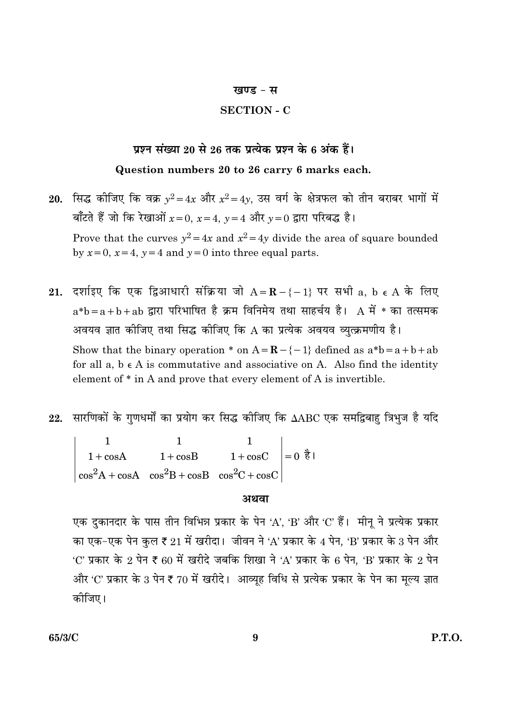#### खण्ड - स

#### **SECTION - C**

#### प्रश्न संख्या 20 से 26 तक प्रत्येक प्रश्न के 6 अंक हैं।

#### Question numbers 20 to 26 carry 6 marks each.

- 20. सिद्ध कीजिए कि वक्र  $y^2 = 4x$  और  $x^2 = 4y$ , उस वर्ग के क्षेत्रफल को तीन बराबर भागों में बाँटते हैं जो कि रेखाओं  $x=0$ ,  $x=4$ ,  $y=4$  और  $y=0$  द्वारा परिबद्ध है। Prove that the curves  $y^2 = 4x$  and  $x^2 = 4y$  divide the area of square bounded by  $x=0$ ,  $x=4$ ,  $y=4$  and  $y=0$  into three equal parts.
- 21. दर्शाइए कि एक द्विआधारी संक्रिया जो  $A = \mathbf{R} \{-1\}$  पर सभी a, b  $\epsilon A$  के लिए  $a*b = a + b + ab$  द्वारा परिभाषित है क्रम विनिमेय तथा साहर्चय है। A में \* का तत्समक अवयव ज्ञात कीजिए तथा सिद्ध कीजिए कि A का प्रत्येक अवयव व्युत्क्रमणीय है। Show that the binary operation \* on  $A = \mathbf{R} - \{-1\}$  defined as  $a^*b = a + b + ab$ for all  $a, b \in A$  is commutative and associative on A. Also find the identity element of  $*$  in A and prove that every element of A is invertible.
- 22. सारणिकों के गुणधर्मों का प्रयोग कर सिद्ध कीजिए कि  $\Delta ABC$  एक समद्विबाहु त्रिभुज है यदि

1 1<br>
1 + cosA 1 + cosB 1 + cosC = 0  $\frac{3}{6}$  |<br>
cos<sup>2</sup>A + cosA cos<sup>2</sup>B + cosB cos<sup>2</sup>C + cosC =

#### अथवा

एक दुकानदार के पास तीन विभिन्न प्रकार के पेन 'A', 'B' और 'C' हैं। मीनू ने प्रत्येक प्रकार का एक-एक पेन कुल ₹ 21 में खरीदा। जीवन ने 'A' प्रकार के 4 पेन, 'B' प्रकार के 3 पेन और 'C' प्रकार के 2 पेन ₹ 60 में खरीदे जबकि शिखा ने 'A' प्रकार के 6 पेन, 'B' प्रकार के 2 पेन और 'C' प्रकार के 3 पेन ₹ 70 में खरीदे। आव्यूह विधि से प्रत्येक प्रकार के पेन का मूल्य ज्ञात कीजिए।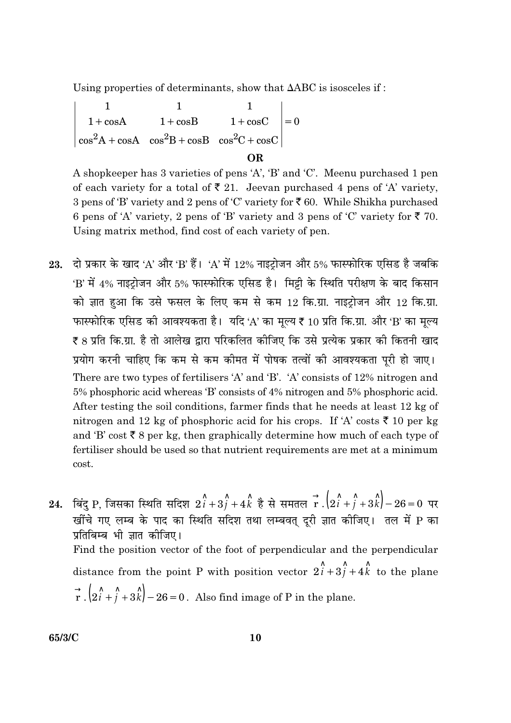Using properties of determinants, show that  $\triangle ABC$  is isosceles if:

1 1<br>1+cosA 1+cosB 1+cosC = 0<br>cos<sup>2</sup>A + cosA cos<sup>2</sup>B + cosB cos<sup>2</sup>C + cosC = **OR** 

A shopkeeper has 3 varieties of pens 'A', 'B' and 'C'. Meenu purchased 1 pen of each variety for a total of  $\overline{\xi}$  21. Jeevan purchased 4 pens of 'A' variety, 3 pens of 'B' variety and 2 pens of 'C' variety for  $\bar{\mathfrak{c}}$  60. While Shikha purchased 6 pens of 'A' variety, 2 pens of 'B' variety and 3 pens of 'C' variety for  $\overline{\xi}$  70. Using matrix method, find cost of each variety of pen.

- 23. दो प्रकार के खाद 'A' और 'B' हैं। 'A' में 12% नाइटोजन और 5% फास्फोरिक एसिड है जबकि 'B' में 4% नाइट्रोजन और 5% फास्फोरिक एसिड है। मिट्टी के स्थिति परीक्षण के बाद किसान को ज्ञात हुआ कि उसे फसल के लिए कम से कम 12 कि.ग्रा. नाइट्रोजन और 12 कि.ग्रा. फास्फोरिक एसिड की आवश्यकता है। यदि 'A' का मूल्य ₹ 10 प्रति कि.ग्रा. और 'B' का मूल्य ₹ 8 प्रति कि.ग्रा. है तो आलेख द्वारा परिकलित कीजिए कि उसे प्रत्येक प्रकार की कितनी खाद प्रयोग करनी चाहिए कि कम से कम कीमत में पोषक तत्वों की आवश्यकता पूरी हो जाए। There are two types of fertilisers 'A' and 'B'. 'A' consists of 12% nitrogen and 5% phosphoric acid whereas 'B' consists of 4% nitrogen and 5% phosphoric acid. After testing the soil conditions, farmer finds that he needs at least 12 kg of nitrogen and 12 kg of phosphoric acid for his crops. If 'A' costs  $\bar{\tau}$  10 per kg and 'B' cost  $\bar{\xi}$  8 per kg, then graphically determine how much of each type of fertiliser should be used so that nutrient requirements are met at a minimum cost.
- 24. बिंदु P, जिसका स्थिति सदिश  $2\hat{i}+3\hat{j}+4\hat{k}$  है से समतल  $\overrightarrow{r}$  . $\left(2\hat{i}+\hat{j}+3\hat{k}\right)-26=0$  पर खींचे गए लम्ब के पाद का स्थिति सदिश तथा लम्बवत् दूरी ज्ञात कीजिए। तल में P का प्रतिबिम्ब भी ज्ञात कीजिए। Find the position vector of the foot of perpendicular and the perpendicular distance from the point P with position vector  $2\hat{i} + 3\hat{j} + 4\hat{k}$  to the plane  $\vec{r}$ ,  $(2\hat{i} + \hat{j} + 3\hat{k})$  – 26 = 0. Also find image of P in the plane.